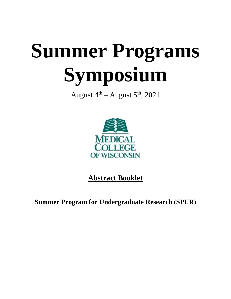# **Summer Programs Symposium**

August  $4^{\text{th}}$  – August  $5^{\text{th}}$ , 2021



**Abstract Booklet**

**Summer Program for Undergraduate Research (SPUR)**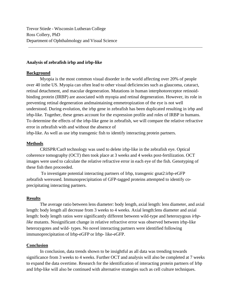Trevor Stiede - Wisconsin Lutheran College Ross Collery, PhD Department of Ophthalmology and Visual Science

## **Analysis of zebrafish irbp and irbp-like**

## **Background**

Myopia is the most common visual disorder in the world affecting over 20% of people over 40 inthe US. Myopia can often lead to other visual deficiencies such as glaucoma, cataract, retinal detachment, and macular degeneration. Mutations in human interphotoreceptor retinoidbinding protein (IRBP) are associated with myopia and retinal degeneration. However, its role in preventing retinal degeneration andmaintaining emmetropization of the eye is not well understood. During evolution, the irbp gene in zebrafish has been duplicated resulting in irbp and irbp-like. Together, these genes account for the expression profile and roles of IRBP in humans. To determine the effects of the irbp-like gene in zebrafish, we will compare the relative refractive error in zebrafish with and without the absence of

irbp-like. As well as use irbp transgenic fish to identify interacting protein partners.

## **Methods**

CRISPR/Cas9 technology was used to delete irbp-like in the zebrafish eye. Optical coherence tomography (OCT) then took place at 3 weeks and 4 weeks post-fertilization. OCT images were used to calculate the relative refractive error in each eye of the fish. Genotyping of these fish then proceeded.

To investigate potential interacting partners of Irbp, transgenic gnat2:irbp-eGFP zebrafish wereused. Immunoprecipitation of GFP-tagged proteins attempted to identify coprecipitating interacting partners.

## **Results**

The average ratio between lens diameter: body length, axial length: lens diameter, and axial length: body length all decrease from 3 weeks to 4 weeks. Axial length:lens diameter and axial length: body length ratios were significantly different between wild-type and heterozygous *irbplike* mutants. Nosignificant change in relative refractive error was observed between irbp-like heterozygotes and wild- types. No novel interacting partners were identified following immunoprecipitation of Irbp-eGFP or Irbp- like-eGFP.

## **Conclusion**

In conclusion, data trends shown to be insightful as all data was trending towards significance from 3 weeks to 4 weeks. Further OCT and analysis will also be completed at 7 weeks to expand the data overtime. Research for the identification of interacting protein partners of Irbp and Irbp-like will also be continued with alternative strategies such as cell culture techniques.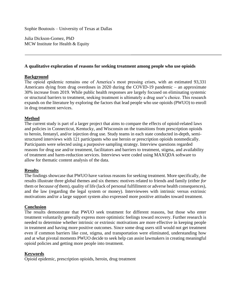Sophie Boutouis – University of Texas at Dallas

Julia Dickson-Gomez, PhD MCW Institute for Health & Equity

## **A qualitative exploration of reasons for seeking treatment among people who use opioids**

## **Background**

The opioid epidemic remains one of America's most pressing crises, with an estimated 93,331 Americans dying from drug overdoses in 2020 during the COVID-19 pandemic – an approximate 30% increase from 2019. While public health responses are largely focused on eliminating systemic or structural barriers to treatment, seeking treatment is ultimately a drug user's choice. This research expands on the literature by exploring the factors that lead people who use opioids (PWUO) to enroll in drug treatment services.

## **Method**

The current study is part of a larger project that aims to compare the effects of opioid-related laws and policies in Connecticut, Kentucky, and Wisconsin on the transitions from prescription opioids to heroin, fentanyl, and/or injection drug use. Study teams in each state conducted in-depth, semistructured interviews with 121 participants who use heroin or prescription opioids nonmedically. Participants were selected using a purposive sampling strategy. Interview questions regarded reasons for drug use and/or treatment, facilitators and barriers to treatment, stigma, and availability of treatment and harm-reduction services. Interviews were coded using MAXQDA software to allow for thematic content analysis of the data.

## **Results**

The findings showcase that PWUO have various reasons for seeking treatment. More specifically, the results illustrate three global themes and six themes: motives related to friends and family (either *for*  them or *because of* them), quality of life (lack of personal fulfillment or adverse health consequences), and the law (regarding the legal system or money). Interviewees with intrinsic versus extrinsic motivations and/or a large support system also expressed more positive attitudes toward treatment.

## **Conclusion**

The results demonstrate that PWUO seek treatment for different reasons, but those who enter treatment voluntarily generally express more optimistic feelings toward recovery. Further research is needed to determine whether intrinsic or extrinsic motivations are more effective in keeping people in treatment and having more positive outcomes. Since some drug users still would not get treatment even if common barriers like cost, stigma, and transportation were eliminated, understanding how and at what pivotal moments PWUO decide to seek help can assist lawmakers in creating meaningful opioid policies and getting more people into treatment.

## **Keywords**

Opioid epidemic, prescription opioids, heroin, drug treatment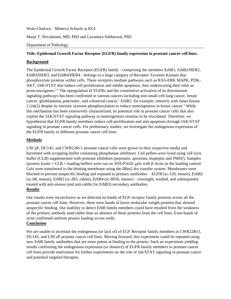Wolu Chukwu – Minerva Schools at KGI

Marja T. Nevalainen, MD, PhD and Lavannya Sabharwal, PhD

#### Department of Pathology

#### **Title: Epidermal Growth Factor Receptor (EGFR) family expression in prostate cancer cell lines.**

#### **Background**

The Epidermal Growth Factor Receptor (EGFR) family - comprising the members ErbB1, ErbB2/HER2, ErbB3/HER3, and ErbB4/HER4 - belongs to a large category of Receptor Tyrosine Kinases that phosphorylate proteins within cells. These receptors mediate pathways such as RAS-ERK MAPK, PI3K-AKT, JAK/STAT that induce cell proliferation and inhibit apoptosis, thus underscoring their roles as proto-oncogenes.1,2 The upregulation of EGFRs and the constitutive activation of its downstream signaling pathways has been confirmed in various cancers including non-small-cell lung cancer, breast cancer, glioblastoma, pancreatic, and colorectal cancer.<sup>1</sup> ErbB2, for example, interacts with Janus kinase 2 (Jak2) despite its intrinsic tyrosine phosphorylation to induce tumorigenesis in breast cancer.<sup>3</sup> While this mechanism has been extensively characterized, its potential role in prostate cancer cells that also exploit the JAK/STAT signaling pathway in tumorigenesis remains to be elucidated. Therefore, we hypothesize that EGFR family members induce cell-proliferation and anti-apoptosis through JAK/STAT signaling in prostate cancer cells. For preliminary studies, we investigate the endogenous expression of the EGFR family in different prostate cancer cell lines.

## **Methods**

LNCaP, DU145, and CWR22Rv1 prostate cancer cells were grown in their respective media and harvested with scrapping buffer containing phosphatase inhibitors. Cell pellets were lysed using cell lysis buffer (CLB) supplemented with protease inhibitors (pepstatin, aprotinin, leupeptin and PMSF). Samples (protein lysate + CLB + loading buffer) were run on SDS-PAGE gels with β-Actin as the loading control. Gels were transferred to the blotting membrane using the iBlot2 dry transfer system. Membranes were blocked to prevent unspecific binding and exposed to primary antibodies – EGFR (sc-120, mouse), ErbB2 (sc-08, mouse), ErbB3 (sc-283, rabbit), ErbB4 (sc-8050, mouse) – overnight, washed, and subsequently treated with anti-mouse (and anti-rabbit for ErbB3) secondary antibodies. **Results**

# Our results were inconclusive as we detected no bands of EGF receptor family proteins across all the prostate cancer cell lines. However, there were bands of lower molecular weight proteins that showed unspecific binding. Our inability to detect ErbB family members could have resulted from the weakness of the primary antibody used rather than an absence of these proteins from the cell lines. Even bands of actin confirmed uniform protein loading across wells.

## **Conclusion**

We are unable to ascertain the endogenous (or lack of) of EGF Receptor family members in CWR22Rv1, DU145, and LNCaP prostate cancer cell lines. Moving forward, this experiment could be repeated using new ErbB family antibodies that are more potent at binding to the protein. Such an experiment yielding results confirming the endogenous expression (or absence) of EGFR family members in prostate cancer cell lines provide motivation for further experiments on the role of Jak/STAT signaling in prostate cancer and potential targeted therapies.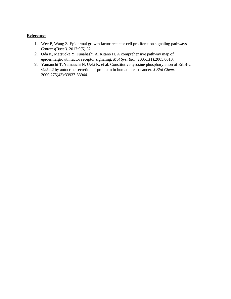## **References**

- 1. Wee P, Wang Z. Epidermal growth factor receptor cell proliferation signaling pathways. *Cancers(Basel)*. 2017;9(5):52.
- 2. Oda K, Matsuoka Y, Funahashi A, Kitano H. A comprehensive pathway map of epidermalgrowth factor receptor signaling. *Mol Syst Biol*. 2005;1(1):2005.0010.
- 3. Yamauchi T, Yamauchi N, Ueki K, et al. Constitutive tyrosine phosphorylation of ErbB-2 viaJak2 by autocrine secretion of prolactin in human breast cancer. *J Biol Chem*. 2000;275(43):33937-33944.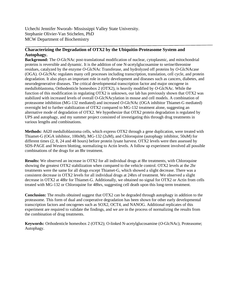Uchechi Jennifer Nworah- Mississippi Valley State University. Stephanie Olivier-Van Stichelen, PhD MCW Department of Biochemistry

## **Characterizing the Degradation of OTX2 by the Ubiquitin-Proteasome System and Autophagy.**

**Background:** The *O*-GlcNAc post-translational modification of nuclear, cytoplasmic, and mitochondrial proteins is reversible and dynamic. It is the addition of one N-acetylglucosamine to serine/threonine residues, catalyzed by the enzyme *O*-GlcNAc Transferase, and hydrolyzed off proteins by *O*-GlcNAcase (OGA). *O*-GlcNAc regulates many cell processes including transcription, translation, cell cycle, and protein degradation. It also plays an important role in early development and diseases such as cancers, diabetes, and neurodegenerative diseases. The critical developmental transcription factor and major oncogene in medulloblastoma, Orthodenticle homeobox 2 (OTX2), is heavily modified by *O*-GlcNAc. While the function of this modification in regulating OTX2 is unknown, our lab has previously shown that OTX2 was stabilized with increased levels of overall O-GlcNAcylation in mouse and cell models. A combination of proteasome inhibition (MG-132 mediated) and increased *O*-GlcNAc (OGA inhibitor Thiamet-G mediated) overnight led to further stabilization of OTX2 compared to MG-132 treatment alone, suggesting an alternative mode of degradation of OTX2. We hypothesize that OTX2 protein degradation is regulated by UPS and autophagy, and my summer project consisted of investigating this through drug treatments in various lengths and combinations.

**Methods:** A620 medulloblastoma cells, which express OTX2 through a gene duplication, were treated with Thiamet-G (OGA inhibitor, 100nM), MG-132 (2uM), and Chloroquine (autophagy inhibitor, 50uM) for different times (2, 8, 24 and 48 hours) before protein lysate harvest. OTX2 levels were then assessed by SDS-PAGE and Western blotting, normalizing to Actin levels. A follow up experiment involved all possible combinations of the drugs for an 8hr treatment.

**Results:** We observed an increase in OTX2 for all individual drugs at 8hr treatments, with Chloroquine showing the greatest OTX2 stabilization when compared to the vehicle control. OTX2 levels at the 2hr treatments were the same for all drugs except Thiamet-G, which showed a slight decrease. There was a consistent decrease in OTX2 levels for all individual drugs at 24hrs of treatment. We observed a slight decrease in OTX2 at 48hr for Thiamet-G. Additionally, we obtained no signal for OTX2 or Actin from cells treated with MG-132 or Chloroquine for 48hrs, suggesting cell death upon this long-term treatment.

**Conclusion:** The results obtained suggest that OTX2 can be degraded through autophagy in addition to the proteasome. This form of dual and cooperative degradation has been shown for other early developmental transcription factors and oncogenes such as SOX2, OCT4, and NANOG. Additional replicates of this experiment are required to validate the findings, and we are in the process of normalizing the results from the combination of drug treatments.

**Keywords:** Orthodenticle homeobox 2 (OTX2); O-linked N-acetylglucosamine (*O*-GlcNAc); Proteasome; Autophagy.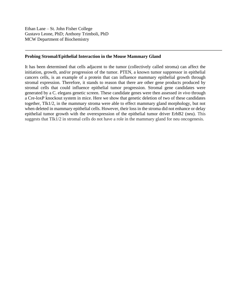Ethan Lane – St. John Fisher College Gustavo Leone, PhD; Anthony Trimboli, PhD MCW Department of Biochemistry

## **Probing Stromal/Epithelial Interaction in the Mouse Mammary Gland**

It has been determined that cells adjacent to the tumor (collectively called stroma) can affect the initiation, growth, and/or progression of the tumor. PTEN, a known tumor suppressor in epithelial cancers cells, is an example of a protein that can influence mammary epithelial growth through stromal expression. Therefore, it stands to reason that there are other gene products produced by stromal cells that could influence epithelial tumor progression. Stromal gene candidates were generated by a C. elegans genetic screen. These candidate genes were then assessed *in vivo* through a Cre-loxP knockout system in mice. Here we show that genetic deletion of two of these candidates together, Tlk1/2, in the mammary stroma were able to effect mammary gland morphology, but not when deleted in mammary epithelial cells. However, their loss in the stroma did not enhance or delay epithelial tumor growth with the overexpression of the epithelial tumor driver ErbB2 (neu). This suggests that Tlk1/2 in stromal cells do not have a role in the mammary gland for neu oncogenesis.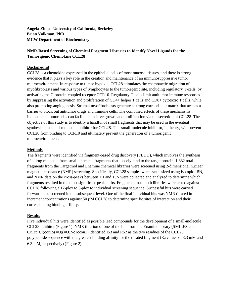**Angela Zhou - University of California, Berkeley Brian Volkman, PhD MCW Department of Biochemistry**

## **NMR-Based Screening of Chemical Fragment Libraries to Identify Novel Ligands for the Tumorigenic Chemokine CCL28**

#### **Background**

CCL28 is a chemokine expressed in the epithelial cells of most mucosal tissues, and there is strong evidence that it plays a key role in the creation and maintenance of an immunosuppressive tumor microenvironment. In response to tumor hypoxia, CCL28 stimulates the chemotactic migration of myofibroblasts and various types of lymphocytes to the tumorigenic site, including regulatory T-cells, by activating the G protein-coupled receptor CCR10. Regulatory T-cells limit antitumor immune responses by suppressing the activation and proliferation of CD4+ helper T cells and CD8+ cytotoxic T cells, while also promoting angiogenesis. Stromal myofibroblasts generate a strong extracellular matrix that acts as a barrier to block out antitumor drugs and immune cells. The combined effects of these mechanisms indicate that tumor cells can facilitate positive growth and proliferation via the secretion of CCL28. The objective of this study is to identify a handful of small fragments that may be used in the eventual synthesis of a small-molecule inhibitor for CCL28. This small-molecule inhibitor, in theory, will prevent CCL28 from binding to CCR10 and ultimately prevent the generation of a tumorigenic microenvironment.

#### **Methods**

The fragments were identified via fragment-based drug discovery (FBDD), which involves the synthesis of a drug molecule from small chemical fragments that loosely bind to the target protein. 1,332 total fragments from the Targetmol and Enamine chemical libraries were screened using 2-dimensional nuclear magnetic resonance (NMR) screening. Specifically, CCL28 samples were synthesized using isotopic 15N, and NMR data on the cross-peaks between 1H and 15N were collected and analyzed to determine which fragments resulted in the most significant peak shifts. Fragments from both libraries were tested against CCL28 following a 12-plex to 3-plex to individual screening sequence. Successful hits were carried forward to be screened in the subsequent level. One of the final individual hits was NMR titrated in increment concentrations against 50  $\mu$ M CCL28 to determine specific sites of interaction and their corresponding binding affinity.

#### **Results**

Five individual hits were identified as possible lead compounds for the development of a small-molecule CCL28 inhibitor (Figure 1). NMR titration of one of the hits from the Enamine library (SMILES code:  $Cc1cc(Cl)ccc1S(-O)(=O)Nc1ccon1$  identified I53 and R52 as the two residues of the CCL28 polypeptide sequence with the greatest binding affinity for the titrated fragment ( $K_d$  values of 3.3 mM and 6.3 mM, respectively) (Figure 2).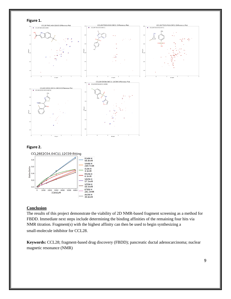



#### **Figure 2.**



#### **Conclusion**

The results of this project demonstrate the viability of 2D NMR-based fragment screening as a method for FBDD. Immediate next steps include determining the binding affinities of the remaining four hits via NMR titration. Fragment(s) with the highest affinity can then be used to begin synthesizing a small-molecule inhibitor for CCL28.

**Keywords:** CCL28; fragment-based drug discovery (FBDD); pancreatic ductal adenocarcinoma; nuclear magnetic resonance (NMR)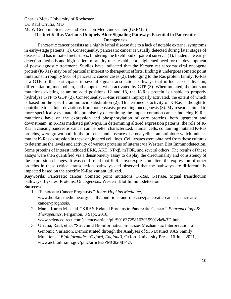# Charles Met - University of Rochester Dr. Raul Urrutia, MD MCW Genomic Sciences and Precision Medicine Center (GSPMC) **Distinct K-Ras Variants Uniquely Alter Signaling Pathways Essential in Pancreatic**

## **Oncogenesis**

Pancreatic cancer persists as a highly lethal disease due to a lack of notable external symptoms in early-stage patients (1). Consequently, pancreatic cancer is usually detected during later stages of disease and has initiated metastases, hindering the likelihood of patient survival (1). Inadequate earlydetection methods and high patient mortality rates establish a heightened need for the development of post-diagnostic treatment. Studies have indicated that the Kirsten rat sarcoma viral oncogene protein (K-Ras) may be of particular interest to therapeutic efforts, finding it undergoes somatic point mutations in roughly 90% of pancreatic cancer cases (2). Belonging to the Ras protein family, K-Ras is a GTPase that participates in several signal transduction pathways that influence cell division, differentiation, metabolism, and apoptosis when activated by GTP (3). When mutated, the hot spot mutations existing at amino acid positions 12 and 13, the K-Ras protein is unable to properly hydrolyze GTP to GDP (2). Consequently, K-Ras remains improperly activated, the extent of which is based on the specific amino acid substitution (2). This erroneous activity of K-Ras is thought to contribute to cellular deviations from homeostasis, provoking oncogenesis (3). My research aimed to more specifically evaluate this premise by determining the impact common cancer-inducing K-Ras mutations have on the expression and phosphorylation of core proteins, both upstream and downstream, in K-Ras mediated pathways. In determining altered expression patterns, the role of K-Ras in causing pancreatic cancer can be better characterized. Human cells, containing mutated K-Ras proteins, were grown both in the presence and absence of doxycycline, an antibiotic which induces mutant K-Ras expression in these engineered cell lines. Cell lysates were obtained from these cultures to determine the levels and activity of various proteins of interest via Western Blot Immunodetection. Some proteins of interest included ERK, AKT, NFκβ, mTOR, and several others. The results of these assays were then quantified via a densitometry assay to display the directionality and consistency of the expression changes. It was confirmed that K-Ras overexpression alters the expression of other proteins in these critical transduction pathways and observed that the pathways are differentially impacted based on the specific K-Ras variant utilized.

**Keywords:** Pancreatic cancer, Somatic point mutations, K-Ras, GTPase, Signal transduction pathways, Lysates, Proteins, Oncogenesis, Western Blot Immunodetection **Sources:**

- 1. "Pancreatic Cancer Prognosis." *Johns Hopkins Medicine*, www.hopkinsmedicine.org/health/conditions-and-diseases/pancreatic-cancer/pancreaticcancer-prognosis.
- 2. Mann, Karen M., et al. "KRAS-Related Proteins in Pancreatic Cancer." *Pharmacology & Therapeutics*, Pergamon, 3 Sept. 2016, www.sciencedirect.com/science/article/pii/S0163725816301590?via%3Dihub.
- 3. Urrutia, Raul, et al. "Structural Bioinformatics Enhances Mechanistic Interpretation of Genomic Variation, Demonstrated through the Analyses of 935 Distinct RAS Family Mutations." *Bioinformatics (Oxford, England)*, Oxford University Press, 16 June 2021, www.ncbi.nlm.nih.gov/pmc/articles/PMC8208742/.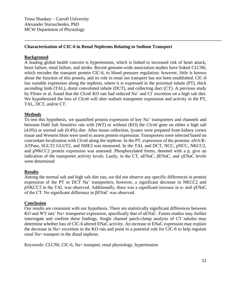## **Characterization of CIC-6 in Renal Nephrons Relating to Sodium Transport**

## **Background**

A leading global health concern is hypertension, which is linked to increased risk of heart attack, heart failure, renal failure, and stroke. Recent genome-wide association studies have linked *CLCN6,*  which encodes the transport protein ClC-6, to blood pressure regulation; however, little is known about the function of this protein, and its role in renal ion transport has not been established. ClC-6 has variable expression along the nephron, where it is expressed in the proximal tubule (PT), thick ascending limb (TAL), distal convoluted tubule (DCT), and collecting duct (CT). A previous study by Flister et al. found that the *Clcn6* KO rats had reduced Na<sup>+</sup> and Cl<sup>-</sup> excretion on a high salt diet. We hypothesized the loss of *Clcn6* will alter sodium transporter expression and activity in the PT, TAL, DCT, and/or CT.

## **Methods**

To test this hypothesis, we quantified protein expression of key Na<sup>+</sup> transporters and channels and between Dahl Salt Sensitive rats with (WT) or without (KO) the *Clcn6* gene on either a high salt (4.0%) or normal salt (0.4%) diet. After tissue collection, lysates were prepared from kidney cortex tissue and Western blots were used to assess protein expression. Transporters were selected based on concordant localization with *Clcn6* along the nephron. In the PT, expression of the proteins: αNA/K-ATPase, SGLT2 GLUT2, and NHE3 was measured. In the TAL and DCT, NCC, pNCC, NKCC2, and pNKCC2 protein expression was assessed. Phosphorylated forms, denoted with a p, give an indication of the transporter activity levels. Lastly, in the CT, αENaC, βENaC, and ɣENaC levels were determined

## **Results**

Among the normal salt and high salt diet rats, we did not observe any specific differences in protein expression of the PT or DCT Na<sup>+</sup> transporters; however, a significant decrease in NKCC2 and pNKCC2 in the TAL was observed. Additionally, there was a significant increase in  $\alpha$ - and  $\gamma$ ENaC of the CT. No significant difference in βENaC was observed.

## **Conclusion**

Our results are consistent with our hypothesis. There are statistically significant differences between KO and WT rats' Na+ transporter expression, specifically that of αENaC. Future studies may further interrogate and confirm these findings. Single channel patch-clamp analysis of CT tubules may determine whether loss of ClC-6 altered ENaC activity. An increase in ENaC expression may explain the decrease in Na+ excretion in the KO rats and point to a potential role for ClC-6 to help regulate renal Na+ transport in the distal nephron.

Keywords: *CLCN6,* ClC-6, Na+ transport, renal physiology, hypertension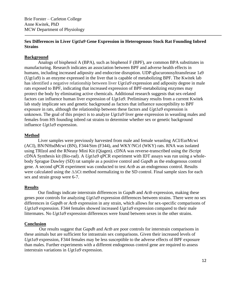Brie Forster – Carleton College Anne Kwitek, PhD MCW Department of Physiology

## **Sex Differences in Liver** *Ugt1a9* **Gene Expression in Heterogenous Stock Rat Founding Inbred Strains**

#### **Background**

Analogs of bisphenol A (BPA), such as bisphenol F (BPF), are common BPA substitutes in manufacturing. Research indicates an association between BPF and adverse health effects in humans, including increased adiposity and endocrine disruption. UDP-glucuronosyltransferase 1a9 (Ugt1a9) is an enzyme expressed in the liver that is capable of metabolizing BPF. The Kwitek lab has identified a negative relationship between liver *Ugt1a9* expression and adiposity degree in male rats exposed to BPF, indicating that increased expression of BPF-metabolizing enzymes may protect the body by eliminating active chemicals. Additional research suggests that sex-related factors can influence human liver expression of *Ugt1a9*. Preliminary results from a current Kwitek lab study implicate sex and genetic background as factors that influence susceptibility to BPF exposure in rats, although the relationship between these factors and *Ugt1a9* expression is unknown. The goal of this project is to analyze *Ugt1a9* liver gene expression in weanling males and females from HS founding inbred rat strains to determine whether sex or genetic background influence *Ugt1a9* expression.

#### **Method**

Liver samples were previously harvested from male and female weanling ACI/EurMcwi (ACI), BN/NHsdMcwi (BN), F344/Stm (F344), and WKY/NCrl (WKY) rats. RNA was isolated using TRIzol and the RNeasy Mini Kit (Qiagen). cDNA was reverse-transcribed using the iScript cDNA Synthesis kit (Bio-rad). A *Ugt1a9* qPCR experiment with IDT assays was run using a wholebody Sprague Dawley (SD) rat sample as a positive control and *Gapdh* as the endogenous control gene. A second qPCR experiment was conducted to test *Actb* as an endogenous control. Results were calculated using the ΔΔCt method normalizing to the SD control. Final sample sizes for each sex and strain group were 6-7.

#### **Results**

Our findings indicate interstrain differences in *Gapdh* and *Actb* expression, making these genes poor controls for analyzing *Ugt1a9* expression differences between strains. There were no sex differences in *Gapdh* or *Actb* expression in any strain, which allows for sex-specific comparisons of *Ugt1a9* expression. F344 females showed increased *Ugt1a9* expression compared to their male littermates. No *Ugt1a9* expression differences were found between sexes in the other strains.

#### **Conclusion**

Our results suggest that *Gapdh* and *Actb* are poor controls for interstrain comparisons in these animals but are sufficient for intrastrain sex comparisons. Given their increased levels of *Ugt1a9* expression, F344 females may be less susceptible to the adverse effects of BPF exposure than males. Further experiments with a different endogenous control gene are required to assess interstrain variations in *Ugt1a9* expression.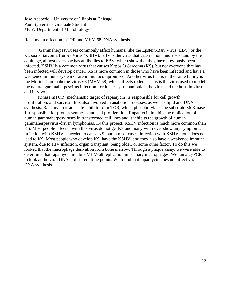Jose Acebedo – University of Illinois at Chicago Paul Sylverster- Graduate Student MCW Department of Microbiology

#### Rapamycin effect on mTOR and MHV-68 DNA synthesis

 Gammaherpesviruses commonly affect humans, like the Epstein-Barr Virus (EBV) or the Kaposi's Sarcoma Herpes Virus (KSHV). EBV is the virus that causes mononucleosis, and by the adult age, almost everyone has antibodies to EBV, which show that they have previously been infected. KSHV is a common virus that causes Kaposi's Sarcoma (KS), but not everyone that has been infected will develop cancer. KS is more common in those who have been infected and have a weakened immune system or are immunocompromised. Another virus that is in the same family is the Murine Gammaherpesvirus-68 (MHV-68) which affects rodents. This is the virus used to model the natural gammaherpesvirus infection, for it is easy to manipulate the virus and the host, in vitro and in-vivo.

Kinase mTOR (mechanistic target of rapamycin) is responsible for cell growth, proliferation, and survival. It is also involved in anabolic processes, as well as lipid and DNA synthesis. Rapamycin is an acute inhibitor of mTOR, which phosphorylates the substrate S6 Kinase 1, responsible for protein synthesis and cell proliferation. Rapamycin inhibits the replication of human gammaherpesviruses in transformed cell lines and it inhibits the growth of human gammaherpesvirus-driven lymphomas. IN this project, KSHV infection is much more common than KS. Most people infected with this virus do not get KS and many will never show any symptoms. Infection with KSHV is needed to cause KS, but in most cases, infection with KSHV alone does not lead to KS. Most people who develop KS, have the KSHV, and they also have a weakened immune system, due to HIV infection, organ transplant, being older, or some other factor. To do this we looked that the macrophage derivation from bone marrow. Through a plaque assay, we were able to determine that rapamycin inhibits MHV-68 replication in primary macrophages. We ran a Q-PCR to look at the viral DNA at different time points. We found that rapamycin does not affect viral DNA synthesis.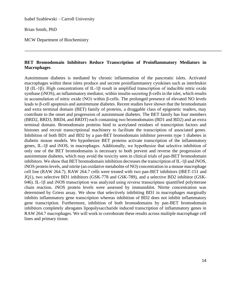Isabel Szablewski – Carroll University

Brian Smith, PhD

MCW Department of Biochemistry

## **BET Bromodomain Inhibitors Reduce Transcription of Proinflammatory Mediators in Macrophages**

Autoimmune diabetes is mediated by chronic inflammation of the pancreatic islets. Activated macrophages within these islets produce and secrete proinflammatory cytokines such as interleukin 1β (IL-1β). High concentrations of IL-1β result in amplified transcription of inducible nitric oxide synthase (iNOS), an inflammatory mediator, within insulin-secreting β-cells in the islet, which results in accumulation of nitric oxide (NO) within β-cells. The prolonged presence of elevated NO levels leads to β-cell apoptosis and autoimmune diabetes. Recent studies have shown that the bromodomain and extra terminal domain (BET) family of proteins, a druggable class of epigenetic readers, may contribute to the onset and progression of autoimmune diabetes. The BET family has four members (BRD2, BRD3, BRD4, and BRDT) each containing two bromodomains (BD1 and BD2) and an extra terminal domain. Bromodomain proteins bind to acetylated residues of transcription factors and histones and recruit transcriptional machinery to facilitate the transcription of associated genes. Inhibition of both BD1 and BD2 by a pan-BET bromodomain inhibitor prevents type 1 diabetes in diabetic mouse models. We hypothesize BET proteins activate transcription of the inflammatory genes, IL-1β and iNOS, in macrophages. Additionally, we hypothesize that selective inhibition of only one of the BET bromodomains is necessary to both prevent and reverse the progression of autoimmune diabetes, which may avoid the toxicity seen in clinical trials of pan-BET bromodomain inhibitors. We show that BET bromodomain inhibition decreases the transcription of IL-1β and iNOS, iNOS protein levels, and nitrite (an oxidative metabolite of NO) concentration in a mouse macrophage cell line (RAW 264.7). RAW 264.7 cells were treated with two pan-BET inhibitors (IBET-151 and JQ1), two selective BD1 inhibitors (GSK-778 and GSK-789), and a selective BD2 inhibitor (GSK-046). IL-1β and iNOS transcription was analyzed using reverse transcriptase quantified polymerase chain reaction. iNOS protein levels were assessed by immunoblot. Nitrite concentration was determined by Griess assay. We show that selectively inhibiting BD1 in macrophages marginally inhibits inflammatory gene transcription whereas inhibition of BD2 does not inhibit inflammatory gene transcription. Furthermore, inhibition of both bromodomains by pan-BET bromodomain inhibitors completely abrogates lipopolysaccharide induced transcription of inflammatory genes in RAW 264.7 macrophages. We will work to corroborate these results across multiple macrophage cell lines and primary tissue.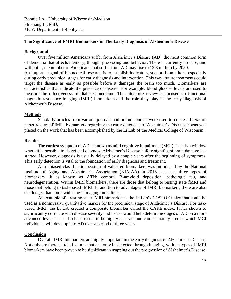Bonnie Jin – University of Wisconsin-Madison Shi-Jiang Li, PhD, MCW Department of Biophysics

## **The Significance of FMRI Biomarkers in The Early Diagnosis of Alzheimer's Disease**

#### **Background**

Over five million Americans suffer from Alzheimer's Disease (AD), the most common form of dementia that affects memory, thought processing and behavior. There is currently no cure, and without it, the number of Americans that suffer from AD may rise to 13.8 million by 2050. An important goal of biomedical research is to establish indicators, such as biomarkers, especially during early preclinical stages for early diagnosis and intervention. This way, future treatments could target the disease as early as possible before it damages the brain too much. Biomarkers are characteristics that indicate the presence of disease. For example, blood glucose levels are used to measure the effectiveness of diabetes medicine. This literature review is focused on functional magnetic resonance imaging (fMRI) biomarkers and the role they play in the early diagnosis of Alzheimer's Disease.

#### **Methods**

Scholarly articles from various journals and online sources were used to create a literature paper review of fMRI biomarkers regarding the early diagnosis of Alzheimer's Disease. Focus was placed on the work that has been accomplished by the Li Lab of the Medical College of Wisconsin.

#### **Results**

The earliest symptom of AD is known as mild cognitive impairment (MCI). This is a window where it is possible to detect and diagnose Alzheimer's Disease before significant brain damage has started. However, diagnosis is usually delayed by a couple years after the beginning of symptoms. This early detection is vital to the foundation of early diagnosis and treatment.

An unbiased classification system of validated biomarkers was introduced by the National Institute of Aging and Alzheimer's Association (NIA-AA) in 2016 that uses three types of biomarkers. It is known as ATN: cerebral B-amyloid deposition, pathologic tau, and neurodegeneration. Within fMRI biomarkers, there are those that belong to resting state fMRI and those that belong to task-based fMRI. In addition to advantages of fMRI biomarkers, there are also challenges that come with single imaging modalities.

An example of a resting state fMRI biomarker is the Li Lab's COSLOF index that could be used as a noninvasive quantitative marker for the preclinical stage of Alzheimer's Disease. For taskbased fMRI, the Li Lab created a composite biomarker called the CARE index. It has shown to significantly correlate with disease severity and its use would help determine stages of AD on a more advanced level. It has also been tested to be highly accurate and can accurately predict which MCI individuals will develop into AD over a period of three years.

#### **Conclusion**

Overall, fMRI biomarkers are highly important in the early diagnosis of Alzheimer's Disease. Not only are there certain features that can only be detected through imaging, various types of fMRI biomarkers have been proven to be significant in mapping out the progression of Alzheimer's Disease.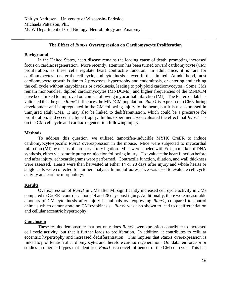## **The Effect of** *Runx1* **Overexpression on Cardiomyocyte Proliferation**

#### **Background**

In the United States, heart disease remains the leading cause of death, prompting increased focus on cardiac regeneration. More recently, attention has been turned toward cardiomyocyte (CM) proliferation, as these cells regulate heart contractile function. In adult mice, it is rare for cardiomyocytes to enter the cell cycle, and cytokinesis is even further limited. At adulthood, most cardiomyocyte growth is due to 2 processes: hypertrophy and endomitosis, or entering and exiting the cell cycle without karyokinesis or cytokinesis, leading to polyploid cardiomyocytes. Some CMs remain mononuclear diploid cardiomyocytes (MNDCMs), and higher frequencies of the MNDCM have been linked to improved outcomes following myocardial infarction (MI). The Patterson lab has validated that the gene *Runx1* influences the MNDCM population. *Runx1* is expressed in CMs during development and is upregulated in the CM following injury to the heart, but it is not expressed in uninjured adult CMs. It may also be linked to dedifferentiation, which could be a precursor for proliferation, and eccentric hypertrophy. In this experiment, we evaluated the effect that *Runx1* has on the CM cell cycle and cardiac regeneration following injury.

## **Methods**

To address this question, we utilized tamoxifen-inducible MYH6 CreER to induce cardiomyocyte-specific *Runx1* overexpression in the mouse. Mice were subjected to myocardial infarction (MI) by means of coronary artery ligation. Mice were labeled with EdU, a marker of DNA synthesis, either via osmotic pump or injection following injury. To evaluate the heart function before and after injury, echocardiograms were performed. Contractile function, dilation, and wall thickness were assessed. Hearts were then harvested at either 14 or 28 days after injury and whole hearts or single cells were collected for further analysis. Immunofluorescence was used to evaluate cell cycle activity and cardiac morphology.

## **Results**

Overexpression of *Runx1* in CMs after MI significantly increased cell cycle activity in CMs compared to CreER<sup>+</sup> controls at both 14 and 28 days post injury. Additionally, there were measurable amounts of CM cytokinesis after injury in animals overexpressing *Runx1*, compared to control animals which demonstrate no CM cytokinesis. *Runx1* was also shown to lead to dedifferentiation and cellular eccentric hypertrophy.

## **Conclusion**

These results demonstrate that not only does *Runx1* overexpression contribute to increased cell cycle activity, but that it further leads to proliferation. In addition, it contributes to cellular eccentric hypertrophy and increased dedifferentiation. This implies that *Runx1* overexpression is linked to proliferation of cardiomyocytes and therefore cardiac regeneration. Our data reinforce prior studies in other cell types that identified *Runx1* as a novel influencer of the CM cell cycle. This has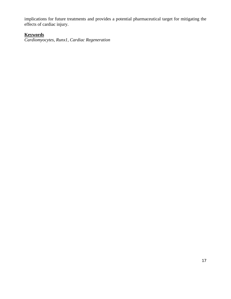implications for future treatments and provides a potential pharmaceutical target for mitigating the effects of cardiac injury.

# **Keywords**

*Cardiomyocytes, Runx1, Cardiac Regeneration*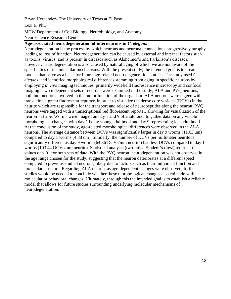## Bryan Hernandez- The University of Texas at El Paso

## Lezi E, PhD

# MCW Department of Cell Biology, Neurobiology, and Anatomy Neuroscience Research Center

## **Age-associated neurodegeneration of interneurons in** *C. elegans*

Neurodegeneration is the process by which neurons and neuronal connections progressively atrophy leading to loss of function. Neurodegeneration can be caused by external and internal factors such as toxins, viruses, and is present in diseases such as Alzheimer's and Parkinson's diseases. However, neurodegeneration is also caused by natural aging of which we are not aware of the specificities of its molecular mechanisms. With the present study, the intended goal is to create models that serve as a basis for future age-related neurodegeneration studies. The study used *C. elegans*, and identified morphological differences stemming from aging in specific neurons by employing *in vivo* imaging techniques, primarily widefield fluorescence microscopy and confocal imaging. Two independent sets of neurons were examined in the study, ALA and PVQ neurons, both interneurons involved in the motor function of the organism. ALA neurons were tagged with a translational green fluorescent reporter, in order to visualize the dense core vesicles (DCVs) in the neurite which are responsible for the transport and release of neuropeptides along the neuron. PVQ neurons were tagged with a transcriptional red fluorescent reporter, allowing for visualization of the neuron's shape. Worms were imaged on day 1 and 9 of adulthood, to gather data on any visible morphological changes, with day 1 being young adulthood and day 9 representing late adulthood. At the conclusion of the study, age-related morphological differences were observed in the ALA neurons. The average distance between DCVs was significantly larger in day 9 worms (11.63 um) compared to day 1 worms (4.88 um). Similarly, the number of DCVs per millimeter neurite is significantly different as day 9 worms (64.36 DCVs/mm neurite) had less DCVs compared to day 1 worms (103.44 DCVs/mm neurite). Statistical analysis (two-tailed Student's *t*-test) returned *P* values of <.01 for both sets of data. With the PVQ neuron, neurodegeneration was not observed in the age range chosen for the study, suggesting that the neuron deteriorates at a different speed compared to previous studied neurons, likely due to factors such as their individual function and molecular structure. Regarding ALA neuron, as age-dependent changes were observed, further studies would be needed to conclude whether these morphological changes also coincide with molecular or behavioral changes. Ultimately, through this the intended goal is to establish a reliable model that allows for future studies surrounding underlying molecular mechanisms of neurodegeneration.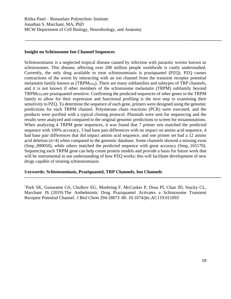## **Insight on Schistosome Ion Channel Sequences**

Schistosomiasis is a neglected tropical disease caused by infection with parasitic worms known as schistosomes. This disease, affecting over 200 million people worldwide is vastly understudied. Currently, the only drug available to treat schistosomiasis is praziquantel (PZQ). PZQ causes contractions of the worm by interacting with an ion channel from the transient receptor potential melastatin family known as  $(TRPM<sub>PZO</sub>)$ . There are many subfamilies and subtypes of TRP channels, and it is not known if other members of the schistosome melastatin (TRPM) subfamily beyond TRPM<sub>PZO</sub> are praziquantel sensitive. Confirming the predicted sequences of other genes in the TRPM family to allow for their expression and functional profiling is the next step in examining their sensitivity to PZQ. To determine the sequence of each gene, primers were designed using the genomic predictions for each TRPM channel. Polymerase chain reactions (PCR) were executed, and the products were purified with a typical cloning protocol. Plasmids were sent for sequencing and the results were analyzed and compared to the original genomic predictions to screen for misannotations. When analyzing 4 TRPM gene sequences, it was found that 7 primer sets matched the predicted sequence with 100% accuracy, 3 had base pair differences with no impact on amino acid sequence, 4 had base pair differences that did impact amino acid sequence, and one primer set had a 12 amino acid deletion (n=4) when compared to the genomic database. Some channels showed a missing exon (Smp\_000050), while others matched the predicted sequence with great accuracy (Smp\_165170). Sequencing each TRPM gene can help create protein models and provide a basis for future work that will be instrumental in our understanding of how PZQ works; this will facilitate development of new drugs capable of treating schistosomiasis.

## K**eywords: Schistosomiasis, Praziquantel, TRP Channels, Ion Channels**

<sup>1</sup>Park SK, Gunaratne GS, Chulkov EG, Moehring F, McCusker P, Dosa PI, Chan JD, Stucky CL, Marchant JS. (2019) The Anthelmintic Drug Praziquantel Activates a Schistosome Transient Receptor Potential Channel. *J Biol Chem* 294:18873–80. 10.1074/jbc.AC119.011093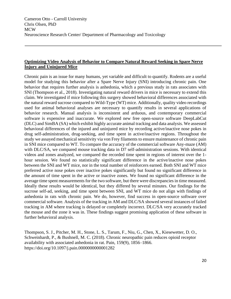## **Optimizing Video Analysis of Behavior to Compare Natural Reward Seeking in Spare Nerve Injury and Uninjured Mice**

Chronic pain is an issue for many humans, yet variable and difficult to quantify. Rodents are a useful model for studying this behavior after a Spare Nerve Injury (SNI) introducing chronic pain. One behavior that requires further analysis is anhedonia, which a previous study in rats associates with SNI (Thompson et al., 2018). Investigating natural reward drivers in mice is necessary to extend this claim. We investigated if mice following this surgery showed behavioral differences associated with the natural reward sucrose compared to Wild-Type (WT) mice. Additionally, quality video recordings used for animal behavioral analyses are necessary to quantify results in several applications of behavior research. Manual analysis is inconsistent and arduous, and contemporary commercial software is expensive and inaccurate. We explored new free open-source software DeepLabCut (DLC) and SimBA (SA) which exhibit highly accurate animal tracking and data analysis. We assessed behavioral differences of the injured and uninjured mice by recording active/inactive nose pokes in drug self-administration, drug-seeking, and time spent in active/inactive regions. Throughout the study we assayed mechanical sensitivity via von Frey filaments to ensure maintenance of chronic pain in SNI mice compared to WT. To compare the accuracy of the commercial software Any-maze (AM) with DLC/SA, we compared mouse tracking data in D7 self-administration sessions. With identical videos and zones analyzed, we compared the recorded time spent in regions of interest over the 1 hour session. We found no statistically significant difference in the active/inactive nose pokes between the SNI and WT mice, nor in the total number of reinforcers earned. Both SNI and WT mice preferred active nose pokes over inactive pokes significantly but found no significant difference in the amount of time spent in the active or inactive zones. We found no significant difference in the average time spent measurements for the two software, but there were discrepancies in time measured. Ideally these results would be identical, but they differed by several minutes. Our findings for the sucrose self-ad, seeking, and time spent between SNI, and WT mice do not align with findings of anhedonia in rats with chronic pain. We do, however, find success in open-source software over commercial software. Analysis of the tracking in AM and DLC/SA showed several instances of failed tracking in AM where tracking is delayed or completely incorrect. DLC/SA very accurately tracked the mouse and the zone it was in. These findings suggest promising application of these software in further behavioral analysis.

Thompson, S. J., Pitcher, M. H., Stone, L. S., Tarum, F., Niu, G., Chen, X., Kiesewetter, D. O., Schweinhardt, P., & Bushnell, M. C. (2018). Chronic neuropathic pain reduces opioid receptor availability with associated anhedonia in rat. Pain, 159(9), 1856–1866. https://doi.org/10.1097/j.pain.0000000000001282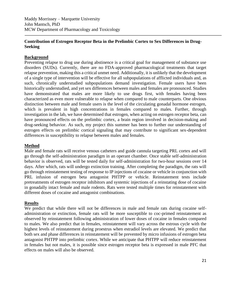Maddy Morrissey – Marquette University John Mantsch, PhD MCW Department of Pharmacology and Toxicology

## **Contribution of Estrogen Receptor Beta in the Prelimbic Cortex to Sex Differences in Drug-Seeking**

## **Background**

Preventing relapse to drug use during abstinence is a critical goal for management of substance use disorders (SUDs). Currently, there are no FDA-approved pharmacological treatments that target relapse prevention, making this a critical unmet need. Additionally, it is unlikely that the development of a single type of intervention will be effective for all subpopulations of afflicted individuals and, as such, chronically understudied subpopulations demand investigation. Female users have been historically understudied, and yet sex differences between males and females are pronounced. Studies have demonstrated that males are more likely to use drugs first, with females having been characterized as even more vulnerable to relapse when compared to male counterparts. One obvious distinction between male and female users is the level of the circulating gonadal hormone estrogen, which is prevalent in high concentrations in females compared to males. Further, through investigation in the lab, we have determined that estrogen, when acting on estrogen receptor beta, can have pronounced effects on the prelimbic cortex, a brain region involved in decision-making and drug-seeking behavior. As such, my project this summer has been to further our understanding of estrogen effects on prelimbic cortical signaling that may contribute to significant sex-dependent differences in susceptibility to relapse between males and females.

## **Method**

Male and female rats will receive venous catheters and guide cannula targeting PRL cortex and will go through the self-administration paradigm in an operant chamber. Once stable self-administration behavior is observed, rats will be tested daily for self-administration for two-hour sessions over 14 days. After which, rats will undergo extinction training. After completing the paradigm, the rats will go through reinstatement testing of response to IP injections of cocaine or vehicle in conjunction with PRL infusion of estrogen beta antagonist PHTPP or vehicle. Reinstatement tests include pretreatments of estrogen receptor inhibitors and systemic injections of a reinstating dose of cocaine in gonadally intact female and male rodents. Rats were tested multiple times for reinstatement with different doses of cocaine and antagonist combinations.

## **Results**

We predict that while there will not be differences in male and female rats during cocaine selfadministration or extinction, female rats will be more susceptible to coc-primed reinstatement as observed by reinstatement following administration of lower doses of cocaine in females compared to males. We also predict that in females, reinstatement will vary across the estrous cycle with the highest levels of reinstatement during proestrus when estradiol levels are elevated. We predict that both sex and phase differences in reinstatement will be prevented by micro infusions of estrogen beta antagonist PHTPP into prelimbic cortex. While we anticipate that PHTPP will reduce reinstatement in females but not males, it is possible since estrogen receptor beta is expressed in male PFC that effects on males will also be observed.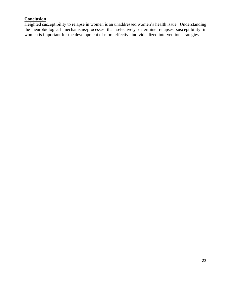# **Conclusion**

Heighted susceptibility to relapse in women is an unaddressed women's health issue. Understanding the neurobiological mechanisms/processes that selectively determine relapses susceptibility in women is important for the development of more effective individualized intervention strategies.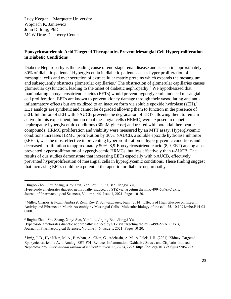Lucy Keegan – Marquette University Wojciech K. Janiewicz John D. Imig, PhD MCW Drug Discovery Center

## **Epoxyeicosatrienoic Acid Targeted Therapeutics Prevent Mesangial Cell Hyperproliferation in Diabetic Conditions**

Diabetic Nephropathy is the leading cause of end-stage renal disease and is seen in approximately 30% of diabetic patients.<sup>1</sup> Hyperglycemia in diabetic patients causes hyper proliferation of mesangial cells and over secretion of extracellular matrix proteins which expands the mesangium and subsequently obstructs glomerular capillaries.<sup>2</sup> The obstruction of glomerular capillaries causes glomerular dysfunction, leading to the onset of diabetic nephropathy.<sup>3</sup> We hypothesized that manipulating epoxyeicosatrienoic acids (EETs) would prevent hyperglycemic induced mesangial cell proliferation. EETs are known to prevent kidney damage through their vasodilating and antiinflammatory effects but are oxidized to an inactive form via soluble epoxide hydrolase (sEH).<sup>4</sup> EET analogs are synthetic and cannot be degraded allowing them to function in the presence of sEH. Inhibition of sEH with *t*-AUCB prevents the degradation of EETs allowing them to remain active. In this experiment, human renal mesangial cells (HRMC) were exposed to diabetic nephropathy hyperglycemic conditions (30mM glucose) and treated with potential therapeutic compounds. HRMC proliferation and viability were measured by an MTT assay. Hyperglycemic conditions increases HRMC proliferation by 30%. *t*-AUCB, a soluble epoxide hydrolase inhibitor (sEH-i), was the most effective in preventing hyperproliferation in hyperglycemic conditions and decreased proliferation to approximately 50%. 8,9-Epoxyeicosatrienoic acid (8,9-EET) analog also prevented hyperproliferation of hyperglycemic HRMCs, but less effectively than *t*-AUCB. The results of our studies demonstrate that increasing EETs especially with t-AUCB, effectively prevented hyperproliferation of mesangial cells in hyperglycemic conditions. These finding suggest that increasing EETs could be a potential therapeutic for diabetic nephropathy.

<sup>&</sup>lt;sup>1</sup> Jingbo Zhou, Shu Zhang, Xinyi Sun, Yan Lou, Jinjing Bao, Jiangyi Yu,

Hyperoside ameliorates diabetic nephropathy induced by STZ via targeting the miR-499–5p/APC axis, Journal of Pharmacological Sciences, Volume 146, Issue 1, 2021, Pages 10-20.

<sup>&</sup>lt;sup>2</sup> Miller, Charles & Pozzi, Ambra & Zent, Roy & Schwarzbauer, Jean. (2014). Effects of High Glucose on Integrin Activity and Fibronectin Matrix Assembly by Mesangial Cells.. Molecular biology of the cell. 25. 10.1091/mbc.E14-03- 0800.

<sup>3</sup> Jingbo Zhou, Shu Zhang, Xinyi Sun, Yan Lou, Jinjing Bao, Jiangyi Yu,

Hyperoside ameliorates diabetic nephropathy induced by STZ via targeting the miR-499–5p/APC axis, Journal of Pharmacological Sciences, Volume 146, Issue 1, 2021, Pages 10-20.

<sup>&</sup>lt;sup>4</sup> Imig, J. D., Hye Khan, M. A., Burkhan, A., Chen, G., Adebesin, A. M., & Falck, J. R. (2021). Kidney-Targeted Epoxyeicosatrienoic Acid Analog, EET-F01, Reduces Inflammation, Oxidative Stress, and Cisplatin-Induced Nephrotoxicity. *International journal of molecular sciences*, *22*(6), 2793. https://doi.org/10.3390/ijms22062793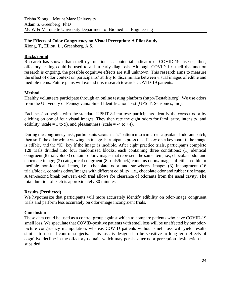## **The Effects of Odor Congruency on Visual Perception: A Pilot Study**

Xiong, T., Elliott, L., Greenberg, A.S.

## **Background**

Research has shown that smell dysfunction is a potential indicator of COVID-19 disease; thus, olfactory testing could be used to aid in early diagnosis. Although COVID-19 smell dysfunction research is ongoing, the possible cognitive effects are still unknown. This research aims to measure the effect of odor context on participants' ability to discriminate between visual images of edible and inedible items. Future plans will extend this research towards COVID-19 patients.

## **Method**

Healthy volunteers participate through an online testing platform (http://Testable.org). We use odors from the University of Pennsylvania Smell Identification Test (UPSIT; Sensonics, Inc).

Each session begins with the standard UPSIT 8-item test: participants identify the correct odor by clicking on one of four visual images. They then rate the eight odors for familiarity, intensity, and edibility (scale = 1 to 9), and pleasantness (scale = -4 to +4).

During the congruency task, participants scratch a "z" pattern into a microencapsulated odorant patch, then sniff the odor while viewing an image. Participants press the "J" key on a keyboard if the image is edible, and the "K" key if the image is inedible. After eight practice trials, participants complete 128 trials divided into four randomized blocks, each containing three conditions: (1) identical congruent (8 trials/block) contains odors/images that represent the same item, i.e., chocolate odor and chocolate image; (2) categorical congruent (8 trials/block) contains odors/images of either edible or inedible non-identical items, i.e., chocolate odor and strawberry image; (3) incongruent (16 trials/block) contains odors/images with different edibility, i.e., chocolate odor and rubber tire image. A ten-second break between each trial allows for clearance of odorants from the nasal cavity. The total duration of each is approximately 30 minutes.

## **Results (Predicted)**

We hypothesize that participants will more accurately identify edibility on odor-image congruent trials and perform less accurately on odor-image incongruent trials.

## **Conclusion**

These data could be used as a control group against which to compare patients who have COVID-19 smell loss. We speculate that COVID-positive patients with smell loss will be unaffected by our odorpicture congruency manipulation, whereas COVID patients without smell loss will yield results similar to normal control subjects. This task is designed to be sensitive to long-term effects of cognitive decline in the olfactory domain which may persist after odor perception dysfunction has subsided.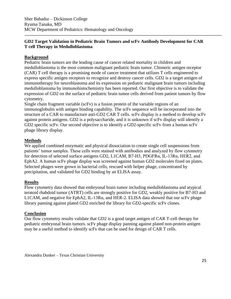# **GD2 Target Validation in Pediatric Brain Tumors and scFv Antibody Development for CAR T cell Therapy in Medulloblastoma**

## **Background**

Pediatric brain tumors are the leading cause of cancer related mortality in children and medulloblastoma is the most common malignant pediatric brain tumor. Chimeric antigen receptor (CAR) T cell therapy is a promising mode of cancer treatment that utilizes T cells engineered to express specific antigen receptors to recognize and destroy cancer cells. GD2 is a target antigen of immunotherapy for neuroblastoma and its expression on pediatric malignant brain tumors including medulloblastoma by immunohistochemistry has been reported. Our first objective is to validate the expression of GD2 on the surface of pediatric brain tumor cells derived from patient tumors by flow cytometry.

Single chain fragment variable (scFv) is a fusion protein of the variable regions of an immunoglobulin with antigen binding capability. The scFv sequence will be incorporated into the structure of a CAR to manufacture anti-GD2 CAR T cells. scFv display is a method to develop scFv against protein antigens. GD2 is a polysaccharide, and it is unknown if scFv display will identify a GD2 specific scFv. Our second objective is to identify a GD2-specific scFv from a human scFv phage library display.

# **Methods**

We applied combined enzymatic and physical dissociation to create single cell suspensions from patients' tumor samples. These cells were stained with antibodies and analyzed by flow cytometry for detection of selected surface antigens GD2, L1CAM, B7-H3, PDGFRα, IL-13Rα, HER2, and EphA2. A human scFv phage display was screened against human GD2 molecules fixed on plates. Selected phages were grown in bacterial cells, rescued with helper phage, concentrated by precipitation, and validated for GD2 binding by an ELISA assay.

## **Results**

Flow cytometry data showed that embryonal brain tumor including medulloblastoma and atypical teratoid rhabdoid tumor (ATRT) cells are strongly positive for GD2, weakly positive for B7-H3 and L1CAM, and negative for EphA2, IL-13Rα, and HER-2. ELISA data showed that our scFv phage library panning against plated GD2 enriched the library for GD2-specific scFv clones.

## **Conclusion**

Our flow cytometry results validate that GD2 is a good target antigen of CAR T-cell therapy for pediatric embryonal brain tumors. scFv phage display panning against plated non-protein antigen may be a useful method to identify scFv that can be used for design of CAR T cells.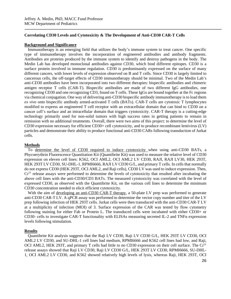#### **Correlating CD30 Levels and Cytotoxicity & The Development of Anti-CD30 CAR-T Cells**

#### **Background and Significance**

Immunotherapy is an emerging field that utilizes the body's immune system to treat cancer. One specific type of immunotherapy involves the incorporation of engineered antibodies and antibody fragments. Antibodies are proteins produced by the immune system to identify and destroy pathogens in the body. The Medin Lab has developed monoclonal antibodies against CD30, which bind different epitopes. CD30 is a surface protein involved in immune regulation. CD30 is predominantly expressed on the surface of many different cancers, with lower levels of expression observed on B and T cells. Since CD30 is largely limited to cancerous cells, the off-target effects of CD30 immunotherapy should be minimal. Two of the Medin Lab's anti-CD30 antibodies have been incorporated into two different therapies: bispecific antibodies and chimeric antigen receptor T cells (CAR-T). Bispecific antibodies are made of two different IgG antibodies, one recognizing CD30 and one recognizing CD3, found on T cells. These IgGs are bound together at the Fc regions via chemical conjugation. One way of delivering anti-CD30 bispecific antibody immunotherapy is to load them *ex vivo* onto bispecific antibody armed-activated T cells (BATs). CAR-T cells are cytotoxic T lymphocytes modified to express an engineered T cell receptor with an extracellular domain that can bind to CD30 on a cancer cell's surface and an intracellular domain that triggers cytotoxicity. CAR-T therapy is a cutting-edge technology primarily used for non-solid tumors with high success rates in getting patients to remain in remission with no additional treatments. Overall, there were two aims of this project: to determine the level of CD30 expression necessary for efficient CD30+ cell cytotoxicity, and to produce recombinant lentivirus (LV) particles and demonstrate their ability to produce functional anti-CD30 CARs following transduction of Jurkat cells.

#### **Methods**

To determine the level of CD30 required to induce cytotoxicity when using anti-CD30 BATs, a Phycoerythrin Fluorescence Quantitation Kit (Quantibrite Kit) was used to measure the relative level of CD30 expression on eleven cell lines: K562, OCI AML2, OCI AML2 LV CD30, RAJI, RAJI LV30, HEK 293T, HEK 293T LV CD30, SU-DHL-1, RPMI6666, RAJI LV CD30 G/L, and primary T cells. In cells that normally do not express CD30 (HEK 293T, OCI AML2, and Raji cells), CD30 LV was used to induce expression. Then,  $Cr<sup>51</sup>$  release assays were performed to determine the levels of cytotoxicity that resulted after incubating the above cell lines with the anti-CD30/CD3 BATs. The measured cytotoxicity was correlated with the level of expressed CD30, as observed with the Quantibrite Kit, on the various cell lines to determine the minimum CD30 concentration needed to elicit efficient cytotoxicity.

With the aim of developing an anti-CD30 CAR-T therapy, a 50-plate LV prep was performed to generate anti-CD30 CAR-T LV. A qPCR assay was performed to determine the vector copy number and titer of the LV prep following infection of HEK 293T cells. Jurkat cells were then transduced with the anti-CD30 CAR-T LV at a multiplicity of infection (MOI) of 3. Surface expression of the CAR was tested by flow cytometry following staining for either Fab or Protein L. The transduced cells were incubated with either CD30+ or CD30- cells to investigate CAR-T functionality with ELISAs measuring secreted IL-2 and TNFα expression levels following stimulation.

#### **Results**

Quantibrite Kit analysis suggests that the Raji LV CD30, Raji LV CD30 G/L, HEK 293T LV CD30, OCI AML2 LV CD30, and SU-DHL-1 cell lines had medium, RPMI6666 and K562 cell lines had low, and Raji, OCI AML2, HEK 293T, and primary T cells had little to no CD30 expression on their cell surface. The Cr<sup>51</sup> release assays showed that Raji LV CD30, Raji LV CD30 G/L, HEK 293T LV CD30, RPMI6666, SU-DHL-1, OCI AML2 LV CD30, and K562 showed relatively high levels of lysis, whereas Raji, HEK 293T, OCI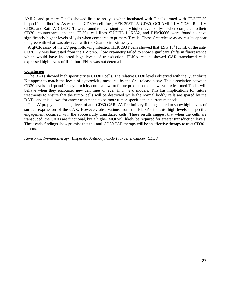AML2, and primary T cells showed little to no lysis when incubated with T cells armed with CD3/CD30 bispecific antibodies. As expected, CD30+ cell lines, HEK 293T LV CD30, OCI AML2 LV CD30, Raji LV CD30, and Raji LV CD30 G/L, were found to have significantly higher levels of lysis when compared to their CD30- counterparts, and the CD30+ cell lines SU-DHL-1, K562, and RPMI6666 were found to have significantly higher levels of lysis when compared to primary T cells. These Cr<sup>51</sup> release assay results appear to agree with what was observed with the Quantibrite Kit assays.

A qPCR assay of the LV prep following infection HEK 293T cells showed that 1.9 x 10<sup>9</sup> IU/mL of the anti-CD30 LV was harvested from the LV prep. Flow cytometry failed to show significant shifts in fluorescence which would have indicated high levels of transduction. ELISA results showed CAR transduced cells expressed high levels of IL-2, but IFN- $\gamma$  was not detected.

#### **Conclusion**

The BATs showed high specificity to CD30+ cells. The relative CD30 levels observed with the Quantibrite Kit appear to match the levels of cytotoxicity measured by the  $Cr<sup>51</sup>$  release assay. This association between CD30 levels and quantified cytotoxicity could allow for future predictions on how cytotoxic armed T cells will behave when they encounter new cell lines or even in *in vivo* models. This has implications for future treatments to ensure that the tumor cells will be destroyed while the normal bodily cells are spared by the BATs, and this allows for cancer treatments to be more tumor-specific than current methods.

The LV prep yielded a high level of anti-CD30 CAR LV. Preliminary findings failed to show high levels of surface expression of the CAR. However, observations from the ELISAs indicate high levels of specific engagement occurred with the successfully transduced cells. These results suggest that when the cells are transduced, the CARs are functional, but a higher MOI will likely be required for greater transduction levels. These early findings show promise that this anti-CD30 CAR therapy will be an effective therapy to treat CD30+ tumors.

*Keywords: Immunotherapy, Bispecific Antibody, CAR-T, T-cells, Cancer, CD30*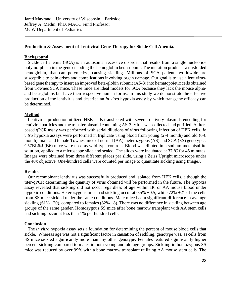## **Production & Assessment of Lentiviral Gene Therapy for Sickle Cell Anemia.**

#### **Background**

 Sickle cell anemia (SCA) is an autosomal recessive disorder that results from a single nucleotide polymorphism in the gene encoding the hemoglobin beta subunit. The mutation produces a misfolded hemoglobin, that can polymerize, causing sickling. Millions of SCA patients worldwide are susceptible to pain crises and complications involving organ damage. Our goal is to use a lentivirusbased gene therapy to insert an improved beta-globin subunit (AS-3) into hematopoietic cells obtained from Townes SCA mice. These mice are ideal models for SCA because they lack the mouse alphaand beta-globins but have their respective human forms. In this study we demonstrate the effective production of the lentivirus and describe an *in vitro* hypoxia assay by which transgene efficacy can be determined.

#### **Method**

 Lentivirus production utilized HEK cells transfected with several delivery plasmids encoding for lentiviral particles and the transfer plasmid containing AS-3. Virus was collected and purified. A titerbased qPCR assay was performed with serial dilutions of virus following infection of HEK cells. *In vitro* hypoxia assays were performed in triplicate using blood from young (2-4 month) and old (6-8 month), male and female Townes mice of normal (AA), heterozygous (AS) and SCA (SS) genotypes. C57BL6/J (B6) mice were used as wild-type controls. Blood was diluted in a sodium metabisulfite solution, applied to a microscope slide and sealed. The slides were incubated at 37 ºC for 45 minutes. Images were obtained from three different places per slide, using a Zeiss Upright microscope under the 40x objective. One-hundred cells were counted per image to quantitate sickling using ImageJ.

#### **Results**

 Our recombinant lentivirus was successfully produced and isolated from HEK cells, although the titer-qPCR determining the quantity of virus obtained will be performed in the future. The hypoxia assay revealed that sickling did not occur regardless of age within B6 or AA mouse blood under hypoxic conditions. Heterozygous mice had sickling occur at  $0.5\% \pm 0.5$ , while 72%  $\pm 21$  of the cells from SS mice sickled under the same conditions. Male mice had a significant difference in average sickling (61%  $\pm$ 20), compared to females (82%  $\pm$ 8). There was no difference in sickling between age groups of the same gender. Homozygous SS mice after bone marrow transplant with AA stem cells had sickling occur at less than 1% per hundred cells.

#### **Conclusion**

 The *in vitro* hypoxia assay sets a foundation for determining the percent of mouse blood cells that sickle. Whereas age was not a significant factor in causation of sickling, genotype was, as cells from SS mice sickled significantly more than any other genotype. Females featured significantly higher percent sickling compared to males in both young and old age groups. Sickling in homozygous SS mice was reduced by over 99% with a bone marrow transplant utilizing AA mouse stem cells. The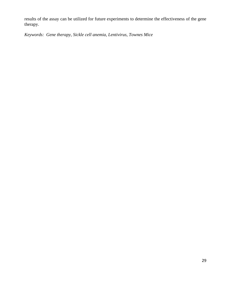results of the assay can be utilized for future experiments to determine the effectiveness of the gene therapy.

*Keywords: Gene therapy, Sickle cell anemia, Lentivirus, Townes Mice*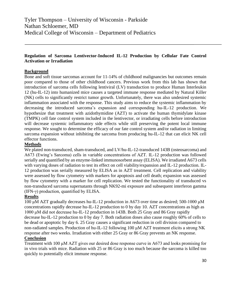# **Regulation of Sarcoma Lentivector-Induced IL-12 Production by Cellular Fate Control Activation or Irradiation**

## **Background**

Bone and soft tissue sarcomas account for 11-14% of childhood malignancies but outcomes remain poor compared to those of other childhood cancers. Previous work from this lab has shown that introduction of sarcoma cells following lentiviral (LV) transduction to produce Human Interleukin 12 (hu-IL-12) into humanized mice causes a targeted immune response mediated by Natural Killer (NK) cells to significantly restrict tumor growth. Unfortunately, there was also undesired systemic inflammation associated with the response. This study aims to reduce the systemic inflammation by decreasing the introduced sarcoma's expansion and corresponding hu-IL-12 production. We hypothesize that treatment with azidothymidine (AZT) to activate the human thymidylate kinase (TMPK) cell fate control system included in the lentivector, or irradiating cells before introduction will decrease systemic inflammatory side effects while still preserving the potent local immune response. We sought to determine the efficacy of our fate control system and/or radiation in limiting sarcoma expansion without inhibiting the sarcoma from producing hu-IL-12 that can elicit NK cell effector functions.

## **Methods**

We plated non-transduced, sham-transduced, and LV/hu-IL-12-transduced 143B (osteosarcoma) and A673 (Ewing's Sarcoma) cells in variable concentrations of AZT. IL-12 production was followed serially and quantified by an enzyme-linked immunosorbent assay (ELISA). We irradiated A673 cells with varying doses of radiation to test its effect on cell viability/expansion and IL-12 production. IL-12 production was serially measured by ELISA as in AZT treatment. Cell replication and viability were assessed by flow cytometry with markers for apoptosis and cell death; expansion was assessed by flow cytometry with a marker for cell replication. We tested the functionality of transduced vs non-transduced sarcoma supernatants through NK92-mi exposure and subsequent interferon gamma  $(IFN-\gamma)$  production, quantified by ELISA.

## **Results**

100 μM AZT gradually decreases hu-IL-12 production in A673 over time as desired; 500-1000 μM concentrations rapidly decrease hu-IL-12 production to 0 by day 10. AZT concentrations as high as 1000 μM did not decrease hu-IL-12 production in 143B. Both 25 Gray and 86 Gray rapidly decrease hu-IL-12 production to 0 by day 7. Both radiation doses also cause roughly 60% of cells to be dead or apoptotic by day 6. 25 Gray causes a significant reduction in cell division compared to non-radiated samples. Production of hu-IL-12 following 100 μM AZT treatment elicits a strong NK response after two weeks. Irradiation with either 25 Gray or 86 Gray prevents an NK response.

## **Conclusion**

Treatment with 100 μM AZT gives our desired dose response curve in A673 and looks promising for in vivo trials with mice. Radiation with 25 or 86 Gray is too much because the sarcoma is killed too quickly to potentially elicit immune response.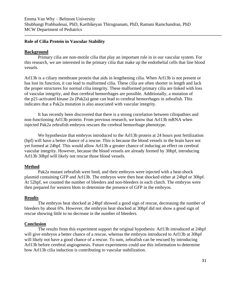Emma Van Why – Belmont University Shubhangi Prabhudesai, PhD, Karthikeyan Thirugnanam, PhD, Ramani Ramchandran, PhD MCW Department of Pediatrics

#### **Role of Cilia Protein in Vascular Stability**

#### **Background**

Primary cilia are non-motile cilia that play an important role in in our vascular system. For this research, we are interested in the primary cilia that make up the endothelial cells that line blood vessels.

Arl13b is a ciliary membrane protein that aids in lengthening cilia. When Arl13b is not present or has lost its function, it can lead to malformed cilia. These cilia are often shorter in length and lack the proper structures for normal cilia integrity. These malformed primary cilia are linked with loss of vascular integrity, and thus cerebral hemorrhages are possible. Additionally, a mutation of the p21-activated kinase 2a (Pak2a) gene can lead to cerebral hemorrhages in zebrafish. This indicates that a Pak2a mutation is also associated with vascular integrity.

It has recently been discovered that there is a strong correlation between ciliopathies and non-functioning Arl13b protein. From previous research, we know that Arl13b mRNA when injected Pak2a zebrafish embryos rescues the cerebral hemorrhage phenotype.

We hypothesize that embryos introduced to the Arl13b protein at 24 hours post fertilization (hpf) will have a better chance of a rescue. This is because the blood vessels in the brain have not yet formed at 24hpf. This would allow Arl13b a greater chance of inducing an effect on cerebral vascular integrity. However, because the blood vessels are already formed by 30hpf, introducing Arl13b 30hpf will likely not rescue those blood vessels.

#### **Method**

Pak2a mutant zebrafish were bred, and their embryos were injected with a heat-shock plasmid containing GFP and Arl13b. The embryos were then heat shocked either at 24hpf or 30hpf. At 52hpf, we counted the number of bleeders and non-bleeders in each clutch. The embryos were then prepared for western blots to determine the presence of GFP in the embryos.

#### **Results**

The embryos heat shocked at 24hpf showed a good sign of rescue, decreasing the number of bleeders by about 6%. However, the embryos heat shocked at 30hpf did not show a good sign of rescue showing little to no decrease in the number of bleeders.

#### **Conclusion**

 The results from this experiment support the original hypothesis: Arl13b introduced at 24hpf will give embryos a better chance of a rescue, whereas the embryos introduced to Arl13b at 30hpf will likely not have a good chance of a rescue. To sum, zebrafish can be rescued by introducing Arl13b before cerebral angiogenesis. Future experiments could use this information to determine how Arl13b cilia induction is contributing to vascular stabilization.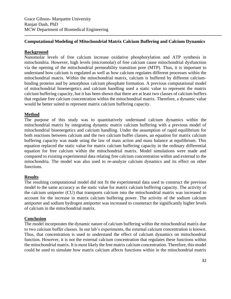## **Computational Modeling of Mitochondrial Matrix Calcium Buffering and Calcium Dynamics**

## **Background**

Nanomolar levels of free calcium increase oxidative phosphorylation and ATP synthesis in mitochondria. However, high levels (micromolar) of free calcium cause mitochondrial dysfunction via the opening of the mitochondrial permeability transition pore (MTP). Thus, it is important to understand how calcium is regulated as well as how calcium regulates different processes within the mitochondrial matrix. Within the mitochondrial matrix, calcium is buffered by different calciumbinding proteins and by amorphous calcium phosphate formation. A previous computational model of mitochondrial bioenergetics and calcium handling used a static value to represent the matrix calcium buffering capacity, but it has been shown that there are at least two classes of calcium buffers that regulate free calcium concentration within the mitochondrial matrix. Therefore, a dynamic value would be better suited to represent matrix calcium buffering capacity.

## **Method**

The purpose of this study was to quantitatively understand calcium dynamics within the mitochondrial matrix by integrating dynamic matrix calcium buffering with a previous model of mitochondrial bioenergetics and calcium handling. Under the assumption of rapid equilibrium for both reactions between calcium and the two calcium buffer classes, an equation for matrix calcium buffering capacity was made using the law of mass action and mass balance at equilibrium. This equation replaced the static value for matrix calcium buffering capacity in the ordinary differential equation for free calcium within the mitochondrial matrix. Model simulations were made and compared to existing experimental data relating free calcium concentration within and external to the mitochondria. The model was also used to re-analyze calcium dynamics and its effect on other functions.

## **Results**

The resulting computational model did not fit the experimental data used to construct the previous model to the same accuracy as the static value for matrix calcium buffering capacity. The activity of the calcium uniporter (CU) that transports calcium into the mitochondrial matrix was increased to account for the increase in matrix calcium buffering power. The activity of the sodium calcium antiporter and sodium hydrogen antiporter was increased to counteract the significantly higher levels of calcium in the mitochondrial matrix.

## **Conclusion**

The model incorporates the dynamic nature of calcium buffering within the mitochondrial matrix due to two calcium buffer classes. In our lab's experiments, the external calcium concentration is known. Thus, that concentration is used to understand the effect of calcium dynamics on mitochondrial function. However, it is not the external calcium concentration that regulates these functions within the mitochondrial matrix. It is most likely the free matrix calcium concentration. Therefore, this model could be used to simulate how matrix calcium affects functions within in the mitochondrial matrix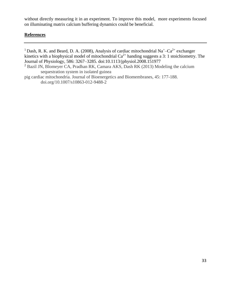without directly measuring it in an experiment. To improve this model, more experiments focused on illuminating matrix calcium buffering dynamics could be beneficial.

## **References**

<sup>1</sup> Dash, R. K. and Beard, D. A. (2008), Analysis of cardiac mitochondrial Na<sup>+</sup>-Ca<sup>2+</sup> exchanger kinetics with a biophysical model of mitochondrial  $Ca^{2+}$  handing suggests a 3: 1 stoichiometry. The Journal of Physiology, 586: 3267–3285. doi:10.1113/jphysiol.2008.151977 <sup>2</sup> Bazil JN, Blomeyer CA, Pradhan RK, Camara AKS, Dash RK (2013) Modeling the calcium sequestration system in isolated guinea pig cardiac mitochondria. Journal of Bioenergetics and Biomembranes, 45: 177-188. doi.org/10.1007/s10863-012-9488-2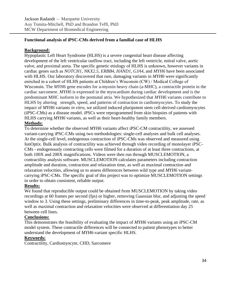# **Functional analysis of iPSC-CMs derived from a familial case of HLHS**

## **Background:**

Hypoplastic Left Heart Syndrome (HLHS) is a severe congenital heart disease affecting development of the left ventricular outflow tract, including the left ventricle, mitral valve, aortic valve, and proximal aorta. The specific genetic etiology of HLHS is unknown, however variants in cardiac genes such as *NOTCH1*, *NKX2.5*, *ERBB4*, *HAND1*, *GJA4*, and *MYH6* have been associated with HLHS. Our laboratory discovered that rare, damaging variants in *MYH6* were significantly enriched in a cohort of HLHS patients at Children's Wisconsin (CW) / Medical College of Wisconsin. The *MYH6* gene encodes for a-myosin heavy chain (a-MHC), a contractile protein in the cardiac sarcomere. *MYH6* is expressed in the myocardium during cardiac development and is the predominant MHC isoform in the postnatal atria. We hypothesized that *MYH6* variants contribute to HLHS by altering strength, speed, and patterns of contraction in cardiomyocytes. To study the impact of *MYH6* variants *in vitro*, we utilized induced pluripotent stem cell-derived cardiomyocytes (iPSC-CMs) as a disease model. iPSCs were reprogrammed from skin biopsies of patients with HLHS carrying *MYH6* variants, as well as their heart-healthy family members.

# **Methods:**

To determine whether the observed *MYH6* variants affect iPSC-CM contractility, we assessed variant-carrying iPSC-CMs using two methodologies: single-cell analyses and bulk cell analyses. At the single-cell level, endogenous contraction of iPSC-CMs was observed and measured using IonOptix. Bulk analysis of contractility was achieved through video recording of monolayer iPSC-CMs - endogenously contracting cells were filmed for a duration of at least three contractions, at both 100X and 200X magnifications. Videos were then run through MUSCLEMOTION, a contractility analysis software. MUSCLEMOTION calculates parameters including contraction amplitude and duration, contraction and relaxation time, as well as maximal contraction and relaxation velocities, allowing us to assess differences between wild type and *MYH6* variantcarrying iPSC-CMs. The specific goal of this project was to optimize MUSCLEMOTION settings in order to obtain consistent, reliable output.

# **Results:**

We found that reproducible output could be obtained from MUSCLEMOTION by taking video recordings at 60 frames per second (fps) or higher, removing Gaussian blur, and adjusting the speed window to 3. Using these settings, preliminary differences in time-to-peak, peak amplitude, rate, as well as maximal contraction and relaxation velocities were observed at differentiation day 25 between cell lines.

## **Conclusions:**

This demonstrates the feasibility of evaluating the impact of *MYH6* variants using an iPSC-CM model system. These contractile differences will be connected to patient phenotypes to better understand the development of *MYH6*-variant specific HLHS.

## **Keywords:**

Contractility, Cardiomyocyte, CHD, Sarcomere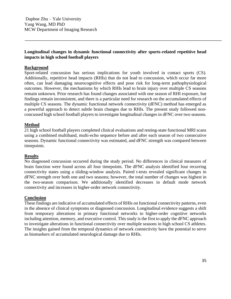## **Longitudinal changes in dynamic functional connectivity after sports-related repetitive head impacts in high school football players**

## **Background**

Sport-related concussion has serious implications for youth involved in contact sports (CS). Additionally, repetitive head impacts (RHIs) that do not lead to concussion, which occur far more often, can lead damaging neurocognitive effects and pose risk for long-term pathophysiological outcomes. However, the mechanisms by which RHIs lead to brain injury over multiple CS seasons remain unknown. Prior research has found changes associated with one season of RHI exposure, but findings remain inconsistent, and there is a particular need for research on the accumulated effects of multiple CS seasons. The dynamic functional network connectivity (dFNC) method has emerged as a powerful approach to detect subtle brain changes due to RHIs. The present study followed nonconcussed high school football players to investigate longitudinal changes in dFNC over two seasons.

## **Method**

21 high school football players completed clinical evaluations and resting-state functional MRI scans using a combined multiband, multi-echo sequence before and after each season of two consecutive seasons. Dynamic functional connectivity was estimated, and dFNC strength was compared between timepoints.

## **Results**

No diagnosed concussion occurred during the study period. No differences in clinical measures of brain function were found across all four timepoints. The dFNC analysis identified four recurring connectivity states using a sliding-window analysis. Paired t-tests revealed significant changes in dFNC strength over both one and two seasons; however, the total number of changes was highest in the two-season comparison. We additionally identified decreases in default mode network connectivity and increases in higher-order network connectivity.

## **Conclusion**

These findings are indicative of accumulated effects of RHIs on functional connectivity patterns, even in the absence of clinical symptoms or diagnosed concussion. Longitudinal evidence suggests a shift from temporary alterations in primary functional networks to higher-order cognitive networks including attention, memory, and executive control. This study is the first to apply the dFNC approach to investigate alterations in functional connectivity over multiple seasons in high school CS athletes. The insights gained from the temporal dynamics of network connectivity have the potential to serve as biomarkers of accumulated neurological damage due to RHIs.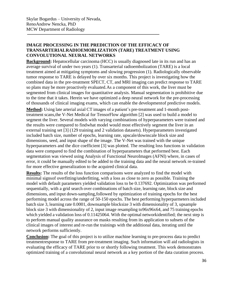# **IMAGE PROCESSING IN THE PREDICTION OF THE EFFICACY OF TRANSARTERIALRADIOEMOBLIZATION (TARE) TREATMENT USING CONVOLUTIONAL NEURAL NETWORKS**

**Background:** Hepatocellular carcinoma (HCC) is usually diagnosed late in its run and has an average survival of under two years (1). Transarterial radioembolization (TARE) is a local treatment aimed at mitigating symptoms and slowing progression (1). Radiologically observable tumor response to TARE is delayed by over six months. This project is investigating how the combined data in the pre-treatment SPECT, CT, and MRI imaging can predict response to TARE so plans may be more proactively evaluated.As a component of this work, the liver must be segmented from clinical images for quantitative analysis. Manual segmentation is prohibitive due to the time that it takes. Herein we have optimized a deep neural network for the pre-processing of thousands of clinical imaging exams, which can enable the developmentof predictive models.

**Method:** Using late arterial axial CT images of a patient's pre-treatment and 1-month posttreatment scans,the V-Net Medical for TensorFlow algorithm [2] was used to build a model to segment the liver. Several models with varying combinations of hyperparameters were trained and the results were compared to findwhat model would most effectively segment the liver in an external training set [3] (129 training and 2 validation datasets). Hyperparameters investigated included batch size, number of epochs, learning rate, upscale/downscale block size and dimensions, seed, and input shape of the image. The V-Net was trained with the unique hyperparameters and the dice coefficient [3] was plotted. The resulting loss functions in validation data were compared to find the combination of hyperparameters that performed best. Each segmentation was viewed using Analysis of Functional NeuroImages (AFNI) where, in cases of error, it could be manually edited to be added to the training data and the neural network re-trained for more effective generalization to the acquired clinical data.

**Results:** The results of the loss function comparisons were analyzed to find the model with minimal signsof overfitting/underfitting, with a loss as close to zero as possible. Training the model with default parameters yielded validation loss to be 0.137692. Optimization was performed sequentially, with a grid search over combinations of batch size, learning rate, block size and dimensions, and input down-sampling,followed by optimization of training epochs for the best performing model across the range of 50-150 epochs. The best performing hyperparmeters included batch size 3, learning rate 0.0001, downsample blocksize 3 with dimensionality of 3, upsample block size 3 with dimensionality of 2, input image resampling to96x96x64, and 75 training epochs which yielded a validation loss of 0.11425064. With the optimal networkidentified; the next step is to perform manual quality assurance on masks resulting from its application to subsets of the clinical images of interest and re-run the trainings with the additional data, iterating until the network performs sufficiently.

**Conclusion:** The goal of this project is to utilize machine learning to pre-process data to predict treatmentresponse to TARE from pre-treatment imaging. Such information will aid radiologists in evaluating the efficacy of TARE prior to or shortly following treatment. This work demonstrates optimized training of a convolutional neural network as a key portion of the data curation process.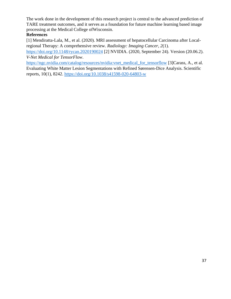The work done in the development of this research project is central to the advanced prediction of TARE treatment outcomes, and it serves as a foundation for future machine learning based image processing at the Medical College ofWisconsin.

# **References**

[1] Mendiratta-Lala, M., et al. (2020). MRI assessment of hepatocellular Carcinoma after Localregional Therapy: A comprehensive review. *Radiology: Imaging Cancer*, *2*(1).

<https://doi.org/10.1148/rycan.2020190024> [2] NVIDIA. (2020, September 24). Version (20.06.2). *V-Net Medical for TensorFlow*.

https://ngc.nvidia.com/catalog/resources/nvidia:vnet\_medical\_for\_tensorflow [3]Carass, A., et al. Evaluating White Matter Lesion Segmentations with Refined Sørensen-Dice Analysis. Scientific reports, 10(1), 8242. <https://doi.org/10.1038/s41598-020-64803-w>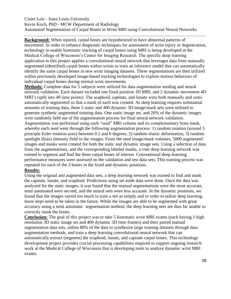## Claire Lois - Saint Louis University Kevin Koch, PhD - MCW Department of Radiology Automated Segmentation of Carpal Bones in Wrist MRI using Convolutional Neural Networks

**Background:** When injured, carpal bones are hypothesized to have abnormal patterns of movement. In order to enhance diagnostic techniques for assessment of wrist injury or degeneration, technology to enable kinematic tracking of carpal bones using MRI is being developed at the Medical College of Wisconsin's Center for Imaging Research. The specific deep learning application to this project applies a convolutional neural network that leverages data from manually segmented (identified) carpal bones within wrists to train an inference model that can automatically identify the same carpal bones in new wrist imaging datasets. These segmentations are then utilized within previously developed image-based tracking technologies to explore motion behaviors of individual carpal bones during normal wrist movements.

**Methods:** Complete data for 5 subjects were utilized for data augmentation seeding and neural network validation. Each dataset included one fixed position 3D MRI, and 2 dynamic movement 4D MRI's (split into 40 time points). The scaphoid, capitate, and lunate were both manually and semiautomatically segmented so that a mask of each was created. As deep learning requires substantial amounts of training data, these 5 static and 400 dynamic 3D image/mask sets were utilized to generate synthetic augmented training data. One static image set, and 20% of the dynamic images were randomly held out of the augmentation process for final neural network validation. Augmentation was performed using each "seed" MRI volume and its complementary bone mask, whereby each seed went through the following augmentation process: 1) random rotation (around 3 principle Euler rotation axes) between 0.2 and 6 degrees, 2) random elastic deformation, 3) random spotlight (bias) intensity field to the images. From the seed image/mask volumes, 5000 augmented images and masks were created for both the static and dynamic image sets. Using a selection of data from the augmentations, and the corresponding labeled masks, a vnet deep learning network was trained to segment and find the three carpal bones of interest. Conventional deep-learning performance measures were assessed on the validation and test data sets. This training process was repeated for each of the 3 bones in the fixed and dynamic positions.

## **Results:**

Using the original and augmented data sets, a deep learning network was trained to find and mask the capitate, lunate, and scaphoid. Predictions using set aside data were done. Once the data was analyzed for the static images, it was found that the manual segmentations were the most accurate, semi automated were second, and the neural nets were less accurate. In the dynamic positions, we found that the images varied too much to train a net as simply and in order to utilize deep learning, more steps need to be taken in the future. While the images are able to be segmented with great accuracy using a semi automatic segmentation method, the deep learning nets are thus far unable to correctly mask the bones.

**Conclusion:** The goal of this project was to take 5 kinematic wrist MRI exams (each having 1 high resolution 3D static image set and 400 dynamic 3D time frames) and their paired manual segmentation data sets, utilize 80% of the data to synthesize large training datasets through data augmentation methods, and train a deep learning convolutional neural network that can automatically extract (segment) the scaphoid, lunate, and capitate carpal bones. This technology development project provides crucial processing capabilities required to support ongoing research work at the Medical College of Wisconsin that is developing tools to analyze dynamic wrist MRI exams.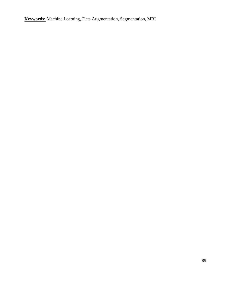**Keywords:** Machine Learning, Data Augmentation, Segmentation, MRI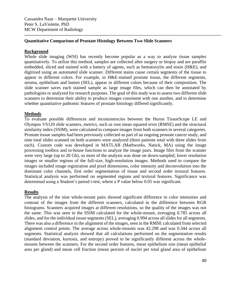Cassandra Naze – Marquette University Peter S. LaViolette, PhD MCW Department of Radiology

## **Quantitative Comparison of Prostate Histology Between Two Slide Scanners**

## **Background**

Whole slide imaging (WSI) has recently become popular as a way to analyze tissue samples quantitatively. To utilize this method, samples are collected after surgery or biopsy and are paraffin embedded, sliced and stained with a battery of agents, such as hematoxylin and eosin (H&E), and digitized using an automated slide scanner. Different stains cause certain segments of the tissue to appear in different colors. For example, in H&E-stained prostate tissue, the different segments, stroma, epithelium and lumen (SEL), appear in different colors because of their composition. The slide scanner saves each stained sample as large image files, which can then be annotated by pathologists or analyzed for research purposes. The goal of this study was to assess two different slide scanners to determine their ability to produce images consistent with one another, and to determine whether quantitative pathomic features of prostate histology differed significantly.

## **Methods**

To evaluate possible differences and inconsistencies between the Huron TissueScope LE and Olympus VS120 slide scanners, metrics, such as root mean squared error (RMSE) and the structural similarity index (SSIM), were calculated to compare images from both scanners in several categories. Prostate tissue samples had been previously collected as part of an ongoing prostate cancer study, and nine total slides scanned on both scanners were analyzed (three patients total with three slides from each). Custom code was developed in MATLAB (Mathworks, Natick, MA) using the image processing toolbox and in-house functions to analyze the image pairs. Image files from the scanner were very large (up to 20 Gb), so most of the analysis was done on down-sampled, lower resolution images or smaller regions of the full-size, high-resolution images. Methods used to compare the images included image registration and pixel dimensions, color intensity and deconvolution into the dominant color channels, first order segmentation of tissue and second order textural features. Statistical analysis was performed on segmented regions and textural features. Significance was determined using a Student's paired t-test, where a P value below 0.05 was significant.

## **Results**

The analysis of the nine whole-mount pairs showed significant difference in color intensities and contrast of the images from the different scanners, calculated in the difference between RGB histograms. Scanners acquired images at different resolutions, so the quality of the images was not the same. This was seen in the SSIM calculated for the whole-mount, averaging 0.785 across all slides, and for the individual tissue segments (SEL), averaging 0.994 across all slides for all segments. There was also a difference in the alignment of the images, seen in the RMSE calculated from selected alignment control points. The average across whole-mounts was 42.298 and was 0.344 across all segments. Statistical analysis showed that all calculations performed on the segmentation results (standard deviation, kurtosis, and entropy) proved to be significantly different across the wholemounts between the scanners. For the second order features, mean epithelium size (mean epithelial area per gland) and mean cell fraction (mean percent of nuclei per total gland area of epithelium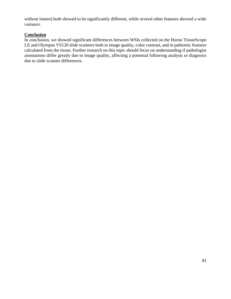without lumen) both showed to be significantly different, while several other features showed a wide variance.

# **Conclusion**

In conclusion, we showed significant differences between WSIs collected on the Huron TissueScope LE and Olympus VS120 slide scanners both in image quality, color contrast, and in pathomic features calculated from the tissue. Further research on this topic should focus on understanding if pathologist annotations differ greatly due to image quality, affecting a potential following analysis or diagnosis due to slide scanner differences.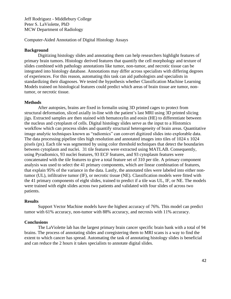Jeff Rodriguez - Middlebury College Peter S. LaViolette, PhD MCW Department of Radiology

Computer-Aided Annotation of Digital Histology Assays

#### **Background**

Digitizing histology slides and annotating them can help researchers highlight features of primary brain tumors. Histology derived features that quantify the cell morphology and texture of slides combined with pathology annotations like tumor, non-tumor, and necrotic tissue can be integrated into histology database. Annotations may differ across specialists with differing degrees of experiences. For this reason, automating this task can aid pathologists and specialists in standardizing their diagnoses. We tested the hypothesis whether Classification Machine Learning Models trained on histological features could predict which areas of brain tissue are tumor, nontumor, or necrotic tissue.

#### **Methods**

After autopsies, brains are fixed in formalin using 3D printed cages to protect from structural deformation, sliced axially in-line with the patient's last MRI using 3D printed slicing jigs. Extracted samples are then stained with hematoxylin and eosin (HE) to differentiate between the nucleus and cytoplasm of cells. Digital histology slides serve as the input to a Histomics workflow which can process slides and quantify structural heterogeneity of brain areas. Quantitative image analytic techniques known as "radiomics" can convert digitized slides into explorable data. The data processing pipeline tiles high resolution and annotated images into tiles of 1024 x 1024 pixels (px). Each tile was segmented by using color threshold techniques that detect the boundaries between cytoplasm and nuclei. 31 tile features were extracted using MATLAB. Consequently, using Pyradiomics, 93 nuclei features, 93 ECF features, and 93 cytoplasm features were concatenated with the tile features to give a total feature set of 310 per tile. A primary component analysis was used to select the 41 primary components, which are linear combination of features, that explain 95% of the variance in the data. Lastly, the annotated tiles were labeled into either nontumor (UL), infiltrative tumor (IF), or necrotic tissue (NE). Classification models were fitted with the 41 primary components of eight slides, trained to predict if a tile was UL, IF, or NE. The models were trained with eight slides across two patients and validated with four slides of across two patients.

#### **Results**

Support Vector Machine models have the highest accuracy of 76%. This model can predict tumor with 61% accuracy, non-tumor with 88% accuracy, and necrosis with 11% accuracy.

## **Conclusions**

The LaViolette lab has the largest primary brain cancer specific brain bank with a total of 94 brains. The process of annotating slides and coregistering them to MRI scans is a way to find the extent to which cancer has spread. Automating the task of annotating histology slides is beneficial and can reduce the 2 hours it takes specialists to annotate digital slides.